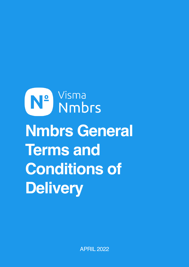# N<sup>o</sup> Visma<br>No Nmbrs **Nmbrs General Terms and Conditions of Delivery**

APRIL 2022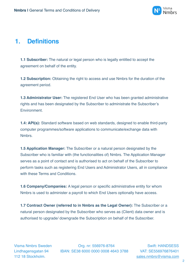

## **1. Definitions**

**1.1 Subscriber:** The natural or legal person who is legally entitled to accept the agreement on behalf of the entity.

**1.2 Subscription:** Obtaining the right to access and use Nmbrs for the duration of the agreement period.

**1.3 Administrator User:** The registered End User who has been granted administrative rights and has been designated by the Subscriber to administrate the Subscriber's Environment.

**1.4: API(s):** Standard software based on web standards, designed to enable third-party computer programmes/software applications to communicate/exchange data with **Nmbrs** 

**1.5 Application Manager:** The Subscriber or a natural person designated by the Subscriber who is familiar with (the functionalities of) Nmbrs. The Application Manager serves as a point of contact and is authorised to act on behalf of the Subscriber to perform tasks such as registering End Users and Administrator Users, all in compliance with these Terms and Conditions

**1.6 Company/Companies:** A legal person or specific administrative entity for whom Nmbrs is used to administer a payroll to which End Users optionally have access.

**1.7 Contract Owner (referred to in Nmbrs as the Legal Owner):** The Subscriber or a natural person designated by the Subscriber who serves as (Client) data owner and is authorised to upgrade/ downgrade the Subscription on behalf of the Subscriber.

Visma Nmbrs Sweden Org. nr: 556976-8764 Swift: HANDSESS Lindhagensgatan 94 IBAN: SE38 6000 0000 0008 4643 3788 VAT: SE556976876401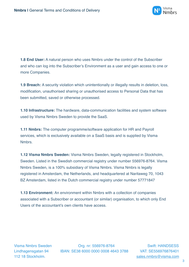

**1.8 End User:** A natural person who uses Nmbrs under the control of the Subscriber and who can log into the Subscriber's Environment as a user and gain access to one or more Companies.

**1.9 Breach:** A security violation which unintentionally or illegally results in deletion, loss, modification, unauthorised sharing or unauthorised access to Personal Data that has been submitted, saved or otherwise processed.

**1.10 Infrastructure:** The hardware, data-communication facilities and system software used by Visma Nmbrs Sweden to provide the SaaS.

**1.11 Nmbrs:** The computer programme/software application for HR and Payroll services, which is exclusively available on a SaaS basis and is supplied by Visma **Nmbrs** 

**1.12 Visma Nmbrs Sweden:** Visma Nmbrs Sweden, legally registered in Stockholm, Sweden. Listed in the Swedish commercial registry under number 556976-8764. Visma Nmbrs Sweden, is a 100% subsidiary of Visma Nmbrs. Visma Nmbrs is legally registered in Amsterdam, the Netherlands, and headquartered at Naritaweg 70, 1043 BZ Amsterdam, listed in the Dutch commercial registry under number 57771847

**1.13 Environment:** An environment within Nmbrs with a collection of companies associated with a Subscriber or accountant (or similar) organisation, to which only End Users of the accountant's own clients have access.

Visma Nmbrs Sweden Org. nr: 556976-8764 Swift: HANDSESS Lindhagensgatan 94 IBAN: SE38 6000 0000 0008 4643 3788 VAT: SE556976876401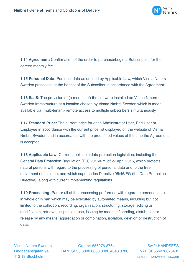

**1.14 Agreement:** Confirmation of the order to purchase/begin a Subscription for the agreed monthly fee.

**1.15 Personal Data:** Personal data as defined by Applicable Law, which Visma Nmbrs Sweden processes at the behest of the Subscriber in accordance with the Agreement.

**1.16 SaaS:** The provision of (a module of) the software installed on Visma Nmbrs Sweden Infrastructure at a location chosen by Visma Nmbrs Sweden which is made available via (multi-tenant) remote access to multiple subscribers simultaneously.

**1.17 Standard Price:** The current price for each Administrator User, End User or Employee in accordance with the current price list displayed on the website of Visma Nmbrs Sweden and in accordance with the predefined values at the time the Agreement is accepted.

**1.18 Applicable Law:** Current applicable data protection legislation, including the General Data Protection Regulation (EU) 2016/679 of 27 April 2016, which protects natural persons with regard to the processing of personal data and to the free movement of this data, and which supersedes Directive 95/46/EG (the Data Protection Directive), along with current implementing regulations.

**1.19 Processing:** Part or all of the processing performed with regard to personal data in whole or in part which may be executed by automated means, including but not limited to the collection, recording, organisation, structuring, storage, editing or modification, retrieval, inspection, use, issuing by means of sending, distribution or release by any means, aggregation or combination, isolation, deletion or destruction of data.

Visma Nmbrs Sweden Org. nr: 556976-8764 Swift: HANDSESS Lindhagensgatan 94 IBAN: SE38 6000 0000 0008 4643 3788 VAT: SE556976876401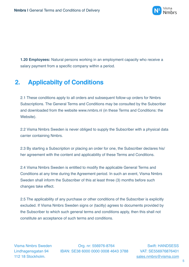

**1.20 Employees:** Natural persons working in an employment capacity who receive a salary payment from a specific company within a period.

# **2. Applicabilty of Conditions**

2.1 These conditions apply to all orders and subsequent follow-up orders for Nmbrs Subscriptions. The General Terms and Conditions may be consulted by the Subscriber and downloaded from the website www.nmbrs.nl (in these Terms and Conditions: the Website).

2.2 Visma Nmbrs Sweden is never obliged to supply the Subscriber with a physical data carrier containing Nmbrs.

2.3 By starting a Subscription or placing an order for one, the Subscriber declares his/ her agreement with the content and applicability of these Terms and Conditions.

2.4 Visma Nmbrs Sweden is entitled to modify the applicable General Terms and Conditions at any time during the Agreement period. In such an event, Visma Nmbrs Sweden shall inform the Subscriber of this at least three (3) months before such changes take effect.

2.5 The applicability of any purchase or other conditions of the Subscriber is explicitly excluded. If Visma Nmbrs Sweden signs or (tacitly) agrees to documents provided by the Subscriber to which such general terms and conditions apply, then this shall not constitute an acceptance of such terms and conditions.

Visma Nmbrs Sweden Org. nr: 556976-8764 Swift: HANDSESS Lindhagensgatan 94 IBAN: SE38 6000 0000 0008 4643 3788 VAT: SE556976876401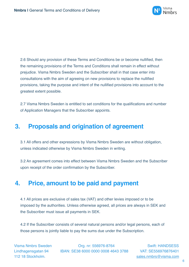

2.6 Should any provision of these Terms and Conditions be or become nullified, then the remaining provisions of the Terms and Conditions shall remain in effect without prejudice. Visma Nmbrs Sweden and the Subscriber shall in that case enter into consultations with the aim of agreeing on new provisions to replace the nullified provisions, taking the purpose and intent of the nullified provisions into account to the greatest extent possible.

2.7 Visma Nmbrs Sweden is entitled to set conditions for the qualifications and number of Application Managers that the Subscriber appoints.

## **3. Proposals and origination of agreement**

3.1 All offers and other expressions by Visma Nmbrs Sweden are without obligation, unless indicated otherwise by Visma Nmbrs Sweden in writing.

3.2 An agreement comes into effect between Visma Nmbrs Sweden and the Subscriber upon receipt of the order confirmation by the Subscriber.

## **4. Price, amount to be paid and payment**

4.1 All prices are exclusive of sales tax (VAT) and other levies imposed or to be imposed by the authorities. Unless otherwise agreed, all prices are always in SEK and the Subscriber must issue all payments in SEK.

4.2 If the Subscriber consists of several natural persons and/or legal persons, each of those persons is jointly liable to pay the sums due under the Subscription.

Visma Nmbrs Sweden Org. nr: 556976-8764 Swift: HANDSESS Lindhagensgatan 94 IBAN: SE38 6000 0000 0008 4643 3788 VAT: SE556976876401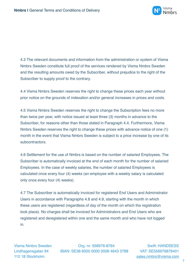

4.3 The relevant documents and information from the administration or system of Visma Nmbrs Sweden constitute full proof of the services rendered by Visma Nmbrs Sweden and the resulting amounts owed by the Subscriber, without prejudice to the right of the Subscriber to supply proof to the contrary.

4.4 Visma Nmbrs Sweden reserves the right to change these prices each year without prior notice on the grounds of indexation and/or general increases in prices and costs.

4.5 Visma Nmbrs Sweden reserves the right to change the Subscription fees no more than twice per year, with notice issued at least three (3) months in advance to the Subscriber, for reasons other than those stated in Paragraph 4.4. Furthermore, Visma Nmbrs Sweden reserves the right to change these prices with advance notice of one (1) month in the event that Visma Nmbrs Sweden is subject to a price increase by one of its subcontractors.

4.6 Settlement for the use of Nmbrs is based on the number of salaried Employees. The Subscriber is automatically invoiced at the end of each month for the number of salaried Employees. In the case of weekly salaries, the number of salaried Employees is calculated once every four (4) weeks (an employee with a weekly salary is calculated only once every four (4) weeks).

4.7 The Subscriber is automatically invoiced for registered End Users and Administrator Users in accordance with Paragraphs 4.8 and 4.9, starting with the month in which these users are registered (regardless of day of the month on which the registration took place). No charges shall be invoiced for Administrators and End Users who are registered and deregistered within one and the same month and who have not logged in.

Visma Nmbrs Sweden Org. nr: 556976-8764 Swift: HANDSESS Lindhagensgatan 94 IBAN: SE38 6000 0000 0008 4643 3788 VAT: SE556976876401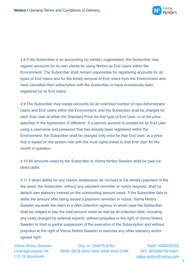

4.8 If the Subscriber is an accounting (or similar) organisation, the Subscriber may register accounts for its own clients for using Nmbrs as End Users within the Environment. The Subscriber shall remain responsible for registering accounts for all types of End Users and for the timely removal of End Users from the Environment who have cancelled their subscription with the Subscriber or have erroneously been registered by its End Users.

4.9 The Subscriber may create accounts for an unlimited number of new Administrator Users and End Users within the Environment, and the Subscriber shall be charged for each End User at either the Standard Price for that type of End User, or at the price specified in the Agreement (if different). If a second account is created for an End User using a username and password that has already been registered within the Environment, the Subscriber shall be charged only once for that End User, at a price that is based on the system role with the most rights linked to that End User for the month in question.

4.10 All amounts owed by the Subscriber to Visma Nmbrs Sweden shall be paid via direct debit.

4.11 If direct debits for any reason whatsoever do not lead to full (timely) payment of the fee owed, the Subscriber, without any payment reminder or notice required, shall by default owe statutory interest on the outstanding amount owed. If the Subscriber fails to settle the amount after being issued a payment reminder or notice, Visma Nmbrs Sweden escalate the claim to a debt collection agency, in which case the Subscriber shall be obliged to pay the total amount owed as well as all collection fees, including any costs charged by external experts, without prejudice to the right of Visma Nmbrs Sweden to total or partial suspension of the execution of the Subscription and without prejudice to the right of Visma Nmbrs Sweden to exercise any other statutory and/or agreed right.

Visma Nmbrs Sweden Org. nr: 556976-8764 Swift: HANDSESS Lindhagensgatan 94 IBAN: SE38 6000 0000 0008 4643 3788 VAT: SE556976876401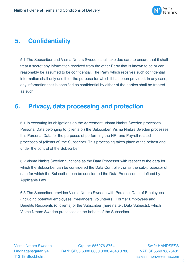

# **5. Confidentiality**

5.1 The Subscriber and Visma Nmbrs Sweden shall take due care to ensure that it shall treat a secret any information received from the other Party that is known to be or can reasonably be assumed to be confidential. The Party which receives such confidential information shall only use it for the purpose for which it has been provided. In any case, any information that is specified as confidential by either of the parties shall be treated as such.

# **6. Privacy, data processing and protection**

6.1 In executing its obligations on the Agreement, Visma Nmbrs Sweden processes Personal Data belonging to (clients of) the Subscriber. Visma Nmbrs Sweden processes this Personal Data for the purposes of performing the HR- and Payroll-related processes of (clients of) the Subscriber. This processing takes place at the behest and under the control of the Subscriber.

6.2 Visma Nmbrs Sweden functions as the Data Processor with respect to the data for which the Subscriber can be considered the Data Controller; or as the sub-processor of data for which the Subscriber can be considered the Data Processor, as defined by Applicable Law.

6.3 The Subscriber provides Visma Nmbrs Sweden with Personal Data of Employees (including potential employees, freelancers, volunteers), Former Employees and Benefits Recipients (of clients) of the Subscriber (hereinafter: Data Subjects), which Visma Nmbrs Sweden processes at the behest of the Subscriber.

Visma Nmbrs Sweden Org. nr: 556976-8764 Swift: HANDSESS Lindhagensgatan 94 IBAN: SE38 6000 0000 0008 4643 3788 VAT: SE556976876401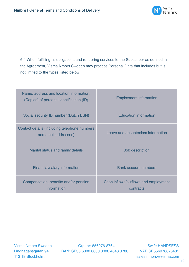

6.4 When fulfilling its obligations and rendering services to the Subscriber as defined in the Agreement, Visma Nmbrs Sweden may process Personal Data that includes but is not limited to the types listed below:

| Name, address and location information,<br>(Copies) of personal identification (ID) | <b>Employment information</b>                     |
|-------------------------------------------------------------------------------------|---------------------------------------------------|
| Social security ID number (Dutch BSN)                                               | <b>Education information</b>                      |
| Contact details (including telephone numbers<br>and email addresses)                | Leave and absenteeism information                 |
| Marital status and family details                                                   | Job description                                   |
| Financial/salary information                                                        | <b>Bank account numbers</b>                       |
| Compensation, benefits and/or pension<br>information                                | Cash inflows/outflows and employment<br>contracts |

Visma Nmbrs Sweden Org. nr: 556976-8764 Swift: HANDSESS Lindhagensgatan 94 IBAN: SE38 6000 0000 0008 4643 3788 VAT: SE556976876401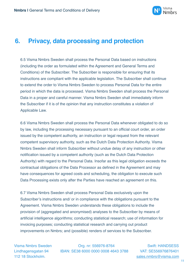

#### **6. Privacy, data processing and protection**

6.5 Visma Nmbrs Sweden shall process the Personal Data based on instructions (including the order as formulated within the Agreement and General Terms and Conditions) of the Subscriber. The Subscriber is responsible for ensuring that its instructions are compliant with the applicable legislation. The Subscriber shall continue to extend the order to Visma Nmbrs Sweden to process Personal Data for the entire period in which the data is processed. Visma Nmbrs Sweden shall process the Personal Data in a proper and careful manner. Visma Nmbrs Sweden shall immediately inform the Subscriber if it is of the opinion that any instruction constitutes a violation of Applicable Law.

6.6 Visma Nmbrs Sweden shall process the Personal Data whenever obligated to do so by law, including the processing necessary pursuant to an official court order, an order issued by the competent authority, an instruction or legal request from the relevant competent supervisory authority, such as the Dutch Data Protection Authority. Visma Nmbrs Sweden shall inform Subscriber without undue delay of any instruction or other notification issued by a competent authority (such as the Dutch Data Protection Authority) with regard to the Personal Data. Insofar as this legal obligation exceeds the contractual obligations of the Data Processor as defined in the Agreement and may have consequences for agreed costs and scheduling, the obligation to execute such Data Processing exists only after the Parties have reached an agreement on this.

6.7 Visma Nmbrs Sweden shall process Personal Data exclusively upon the Subscriber's instructions and/ or in compliance with the obligations pursuant to the Agreement. Visma Nmbrs Sweden understands these obligations to include the provision of (aggregated and anonymised) analyses to the Subscriber by means of artificial intelligence algorithms; conducting statistical research; use of information for invoicing purposes; conducting statistical research and carrying out product improvements on Nmbrs; and (possible) renders of services to the Subscriber.

Visma Nmbrs Sweden Org. nr: 556976-8764 Swift: HANDSESS Lindhagensgatan 94 IBAN: SE38 6000 0000 0008 4643 3788 VAT: SE556976876401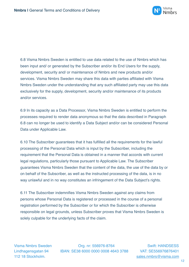

6.8 Visma Nmbrs Sweden is entitled to use data related to the use of Nmbrs which has been input and/ or generated by the Subscriber and/or its End Users for the supply, development, security and/ or maintenance of Nmbrs and new products and/or services. Visma Nmbrs Sweden may share this data with parties affiliated with Visma Nmbrs Sweden under the understanding that any such affiliated party may use this data exclusively for the supply, development, security and/or maintenance of its products and/or services.

6.9 In its capacity as a Data Processor, Visma Nmbrs Sweden is entitled to perform the processes required to render data anonymous so that the data described in Paragraph 6.8 can no longer be used to identify a Data Subject and/or can be considered Personal Data under Applicable Law.

6.10 The Subscriber guarantees that it has fulfilled all the requirements for the lawful processing of the Personal Data which is input by the Subscriber, including the requirement that the Personal Data is obtained in a manner that accords with current legal regulations, particularly those pursuant to Applicable Law. The Subscriber guarantees Visma Nmbrs Sweden that the content of the data, the use of the data by or on behalf of the Subscriber, as well as the instructed processing of the data, is in no way unlawful and in no way constitutes an infringement of the Data Subject's rights.

6.11 The Subscriber indemnifies Visma Nmbrs Sweden against any claims from persons whose Personal Data is registered or processed in the course of a personal registration performed by the Subscriber or for which the Subscriber is otherwise responsible on legal grounds, unless Subscriber proves that Visma Nmbrs Sweden is solely culpable for the underlying facts of the claim.

Visma Nmbrs Sweden Org. nr: 556976-8764 Swift: HANDSESS Lindhagensgatan 94 IBAN: SE38 6000 0000 0008 4643 3788 VAT: SE556976876401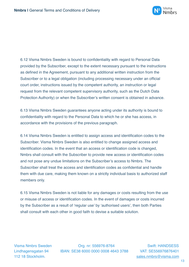

6.12 Visma Nmbrs Sweden is bound to confidentiality with regard to Personal Data provided by the Subscriber, except to the extent necessary pursuant to the instructions as defined in the Agreement, pursuant to any additional written instruction from the Subscriber or to a legal obligation (including processing necessary under an official court order, instructions issued by the competent authority, an instruction or legal request from the relevant competent supervisory authority, such as the Dutch Data Protection Authority) or when the Subscriber's written consent is obtained in advance.

6.13 Visma Nmbrs Sweden guarantees anyone acting under its authority is bound to confidentiality with regard to the Personal Data to which he or she has access, in accordance with the provisions of the previous paragraph.

6.14 Visma Nmbrs Sweden is entitled to assign access and identification codes to the Subscriber. Visma Nmbrs Sweden is also entitled to change assigned access and identification codes. In the event that an access or identification code is changed, Nmbrs shall consult with the Subscriber to provide new access or identification codes and not pose any undue limitations on the Subscriber's access to Nmbrs. The Subscriber shall treat the access and identification codes as confidential and handle them with due care, making them known on a strictly individual basis to authorized staff members only.

6.15 Visma Nmbrs Sweden is not liable for any damages or costs resulting from the use or misuse of access or identification codes. In the event of damages or costs incurred by the Subscriber as a result of 'regular use' by 'authorised users', then both Parties shall consult with each other in good faith to devise a suitable solution.

Visma Nmbrs Sweden Org. nr: 556976-8764 Swift: HANDSESS Lindhagensgatan 94 IBAN: SE38 6000 0000 0008 4643 3788 VAT: SE556976876401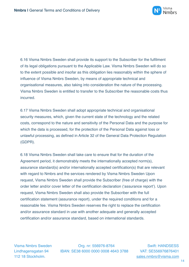

6.16 Visma Nmbrs Sweden shall provide its support to the Subscriber for the fulfilment of its legal obligations pursuant to the Applicable Law. Visma Nmbrs Sweden will do so to the extent possible and insofar as this obligation lies reasonably within the sphere of influence of Visma Nmbrs Sweden, by means of appropriate technical and organisational measures, also taking into consideration the nature of the processing. Visma Nmbrs Sweden is entitled to transfer to the Subscriber the reasonable costs thus incurred.

6.17 Visma Nmbrs Sweden shall adopt appropriate technical and organisational security measures, which, given the current state of the technology and the related costs, correspond to the nature and sensitivity of the Personal Data and the purpose for which the data is processed, for the protection of the Personal Data against loss or unlawful processing, as defined in Article 32 of the General Data Protection Regulation (GDPR).

6.18 Visma Nmbrs Sweden shall take care to ensure that for the duration of the Agreement period, it demonstrably meets the internationally accepted norm(s), assurance standard(s) and/or internationally accepted certification(s) that are relevant with regard to Nmbrs and the services rendered by Visma Nmbrs Sweden Upon request, Visma Nmbrs Sweden shall provide the Subscriber (free of charge) with the order letter and/or cover letter of the certification declaration ('assurance report'). Upon request, Visma Nmbrs Sweden shall also provide the Subscriber with the full certification statement (assurance report), under the required conditions and for a reasonable fee. Visma Nmbrs Sweden reserves the right to replace the certification and/or assurance standard in use with another adequate and generally accepted certification and/or assurance standard, based on international standards.

Visma Nmbrs Sweden Org. nr: 556976-8764 Swift: HANDSESS Lindhagensgatan 94 IBAN: SE38 6000 0000 0008 4643 3788 VAT: SE556976876401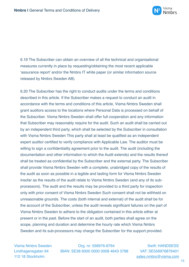

6.19 The Subscriber can obtain an overview of all the technical and organisational measures currently in place by requesting/obtaining the most recent applicable 'assurance report' and/or the Nmbrs IT white paper (or similar information source released by Nmbrs Sweden AB).

6.20 The Subscriber has the right to conduct audits under the terms and conditions described in this article. If the Subscriber makes a request to conduct an audit in accordance with the terms and conditions of this article, Visma Nmbrs Sweden shall grant auditors access to the locations where Personal Data is processed on behalf of the Subscriber. Visma Nmbrs Sweden shall offer full cooperation and any information that Subscriber may reasonably require for the audit. Such an audit shall be carried out by an independent third party, which shall be selected by the Subscriber in consultation with Visma Nmbrs Sweden This party shall at least be qualified as an independent expert auditor certified to verify compliance with Applicable Law. The auditor must be willing to sign a confidentiality agreement prior to the audit. The audit (including the documentation and other information to which the Audit extends) and the results thereof shall be treated as confidential by the Subscriber and the external party. The Subscriber shall provide Visma Nmbrs Sweden with a complete, unabridged copy of the results of the audit as soon as possible in a legible and lasting form for Visma Nmbrs Sweden insofar as the results of the audit relate to Visma Nmbrs Sweden (and any of its subprocessors). The audit and the results may be provided to a third party for inspection only with prior consent of Visma Nmbrs Sweden Such consent shall not be withheld on unreasonable grounds. The costs (both internal and external) of the audit shall be for the account of the Subscriber, unless the audit reveals significant failures on the part of Visma Nmbrs Sweden to adhere to the obligation contained in this article either at present or in the past. Before the start of an audit, both parties shall agree on the scope, planning and duration and determine the hourly rate which Visma Nmbrs Sweden and its sub-processors may charge the Subscriber for the support provided.

Visma Nmbrs Sweden Org. nr: 556976-8764 Swift: HANDSESS Lindhagensgatan 94 IBAN: SE38 6000 0000 0008 4643 3788 VAT: SE556976876401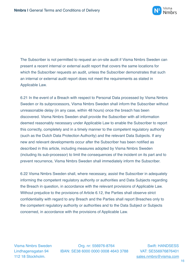

The Subscriber is not permitted to request an on-site audit if Visma Nmbrs Sweden can present a recent internal or external audit report that covers the same locations for which the Subscriber requests an audit, unless the Subscriber demonstrates that such an internal or external audit report does not meet the requirements as stated in Applicable Law.

6.21 In the event of a Breach with respect to Personal Data processed by Visma Nmbrs Sweden or its subprocessors, Visma Nmbrs Sweden shall inform the Subscriber without unreasonable delay (in any case, within 48 hours) once the breach has been discovered. Visma Nmbrs Sweden shall provide the Subscriber with all information deemed reasonably necessary under Applicable Law to enable the Subscriber to report this correctly, completely and in a timely manner to the competent regulatory authority (such as the Dutch Data Protection Authority) and the relevant Data Subjects. If any new and relevant developments occur after the Subscriber has been notified as described in this article, including measures adopted by Visma Nmbrs Sweden (including its sub-processor) to limit the consequences of the incident on its part and to prevent recurrence, Visma Nmbrs Sweden shall immediately inform the Subscriber.

6.22 Visma Nmbrs Sweden shall, where necessary, assist the Subscriber in adequately informing the competent regulatory authority or authorities and Data Subjects regarding the Breach in question, in accordance with the relevant provisions of Applicable Law. Without prejudice to the provisions of Article 6.12, the Parties shall observe strict confidentiality with regard to any Breach and the Parties shall report Breaches only to the competent regulatory authority or authorities and to the Data Subject or Subjects concerned, in accordance with the provisions of Applicable Law.

Visma Nmbrs Sweden Org. nr: 556976-8764 Swift: HANDSESS Lindhagensgatan 94 IBAN: SE38 6000 0000 0008 4643 3788 VAT: SE556976876401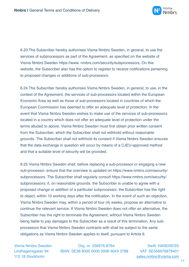

6.23 The Subscriber hereby authorises Visma Nmbrs Sweden, in general, to use the services of subprocessors as part of the Agreement, as specified on the website of Visma Nmbrs Sweden https://www. nmbrs.com/security/subprocessors. On this website, the Subscriber also has the option to register to receive notifications pertaining to proposed changes or additions of sub-processors.

6.24 The Subscriber hereby authorises Visma Nmbrs Sweden, in general, to use, in the context of the Agreement, the services of sub-processors located within the European Economic Area as well as those of sub-processors located in countries of which the European Commission has deemed to offer an adequate level of protection. In the event that Visma Nmbrs Sweden wishes to make use of the services of sub-processors located in a country which does not offer an adequate level of protection under the terms alluded to above, Visma Nmbrs Sweden must first obtain prior written consent from the Subscriber, which the Subscriber shall not withhold without reasonable grounds. The Subscriber shall not withhold its consent if Visma Nmbrs Sweden ensures that the data exchange in question will occur by means of a CJEU-approved method and that a suitable level of security will be provided.

6.25 Visma Nmbrs Sweden shall, before replacing a sub-processor or engaging a new sub-processor, ensure that the overview is updated on https://www.nmbrs.com/security/ subprocessors. The Subscriber shall regularly consult https://www.nmbrs.com/security/ subprocessors; if, on reasonable grounds, the Subscriber is unable to agree with a proposed change or addition of a particular subprocessor, the Subscriber has the right to object, within 10 working days after the notification. In the event of such an objection, Visma Nmbrs Sweden may, within a period of four (4) weeks, propose an alternative to continue the relevant service. If Visma Nmbrs Sweden does not offer an alternative, the Subscriber has the right to terminate the Agreement, without Visma Nmbrs Sweden being liable to pay damages to the Subscriber as a result of this termination. Any subprocessors that Visma Nmbrs Sweden contracts with shall be subject to the same obligations as Visma Nmbrs Sweden applies to itself, pursuant to Article 6.

Visma Nmbrs Sweden Org. nr: 556976-8764 Swift: HANDSESS Lindhagensgatan 94 IBAN: SE38 6000 0000 0008 4643 3788 VAT: SE556976876401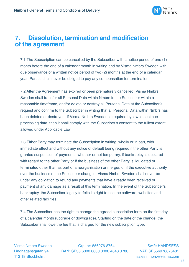

#### **7. Dissolution, termination and modification of the agreement**

7.1 The Subscription can be cancelled by the Subscriber with a notice period of one (1) month before the end of a calendar month in writing and by Visma Nmbrs Sweden with due observance of a written notice period of two (2) months at the end of a calendar year. Parties shall never be obliged to pay any compensation for termination.

7.2 After the Agreement has expired or been prematurely cancelled, Visma Nmbrs Sweden shall transfer all Personal Data within Nmbrs to the Subscriber within a reasonable timeframe, and/or delete or destroy all Personal Data at the Subscriber's request and confirm to the Subscriber in writing that all Personal Data within Nmbrs has been deleted or destroyed. If Visma Nmbrs Sweden is required by law to continue processing data, then it shall comply with the Subscriber's consent to the fullest extent allowed under Applicable Law.

7.3 Either Party may terminate the Subscription in writing, wholly or in part, with immediate effect and without any notice of default being required if the other Party is granted suspension of payments, whether or not temporary, if bankruptcy is declared with regard to the other Party or if the business of the other Party is liquidated or terminated other than as part of a reorganisation or merger, or if the executive authority over the business of the Subscriber changes. Visma Nmbrs Sweden shall never be under any obligation to refund any payments that have already been received or payment of any damage as a result of this termination. In the event of the Subscriber's bankruptcy, the Subscriber legally forfeits its right to use the software, websites and other related facilities.

7.4 The Subscriber has the right to change the agreed subscription form on the first day of a calendar month (upgrade or downgrade). Starting on the date of the change, the Subscriber shall owe the fee that is charged for the new subscription type.

Visma Nmbrs Sweden Org. nr: 556976-8764 Swift: HANDSESS Lindhagensgatan 94 IBAN: SE38 6000 0000 0008 4643 3788 VAT: SE556976876401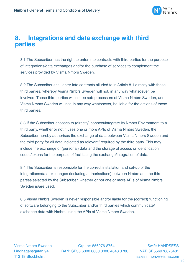

#### **8. Integrations and data exchange with third parties**

8.1 The Subscriber has the right to enter into contracts with third parties for the purpose of integrations/data exchanges and/or the purchase of services to complement the services provided by Visma Nmbrs Sweden.

8.2 The Subscriber shall enter into contracts alluded to in Article 8.1 directly with these third parties, whereby Visma Nmbrs Sweden will not, in any way whatsoever, be involved. These third parties will not be sub-processors of Visma Nmbrs Sweden, and Visma Nmbrs Sweden will not, in any way whatsoever, be liable for the actions of these third parties.

8.3 If the Subscriber chooses to (directly) connect/integrate its Nmbrs Environment to a third party, whether or not it uses one or more APIs of Visma Nmbrs Sweden, the Subscriber hereby authorises the exchange of data between Visma Nmbrs Sweden and the third party for all data indicated as relevant/ required by the third party. This may include the exchange of (personal) data and the storage of access or identification codes/tokens for the purpose of facilitating the exchange/integration of data.

8.4 The Subscriber is responsible for the correct installation and set-up of the integrations/data exchanges (including authorisations) between Nmbrs and the third parties selected by the Subscriber, whether or not one or more APIs of Visma Nmbrs Sweden is/are used.

8.5 Visma Nmbrs Sweden is never responsible and/or liable for the (correct) functioning of software belonging to the Subscriber and/or third parties which communicate/ exchange data with Nmbrs using the APIs of Visma Nmbrs Sweden.

Visma Nmbrs Sweden Org. nr: 556976-8764 Swift: HANDSESS Lindhagensgatan 94 IBAN: SE38 6000 0000 0008 4643 3788 VAT: SE556976876401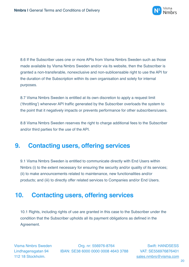

8.6 If the Subscriber uses one or more APIs from Visma Nmbrs Sweden such as those made available by Visma Nmbrs Sweden and/or via its website, then the Subscriber is granted a non-transferable, nonexclusive and non-sublicensable right to use the API for the duration of the Subscription within its own organisation and solely for internal purposes.

8.7 Visma Nmbrs Sweden is entitled at its own discretion to apply a request limit ('throttling') whenever API traffic generated by the Subscriber overloads the system to the point that it negatively impacts or prevents performance for other subscribers/users.

8.8 Visma Nmbrs Sweden reserves the right to charge additional fees to the Subscriber and/or third parties for the use of the API.

#### **9. Contacting users, offering services**

9.1 Visma Nmbrs Sweden is entitled to communicate directly with End Users within Nmbrs (i) to the extent necessary for ensuring the security and/or quality of its services; (ii) to make announcements related to maintenance, new functionalities and/or products; and (iii) to directly offer related services to Companies and/or End Users.

# **10. Contacting users, offering services**

10.1 Rights, including rights of use are granted in this case to the Subscriber under the condition that the Subscriber upholds all its payment obligations as defined in the Agreement.

Visma Nmbrs Sweden Org. nr: 556976-8764 Swift: HANDSESS Lindhagensgatan 94 IBAN: SE38 6000 0000 0008 4643 3788 VAT: SE556976876401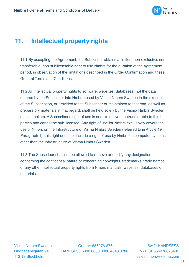

# **11. Intellectual property rights**

11.1 By accepting the Agreement, the Subscriber obtains a limited, non-exclusive, nontransferable, non-sublicensable right to use Nmbrs for the duration of the Agreement period, in observation of the limitations described in the Order Confirmation and these General Terms and Conditions.

11.2 All intellectual property rights to software, websites, databases (not the data entered by the Subscriber into Nmbrs) used by Visma Nmbrs Sweden in the execution of the Subscription, or provided to the Subscriber or maintained to that end, as well as preparatory materials in that regard, shall be held solely by the Visma Nmbrs Sweden or its suppliers. A Subscriber's right of use is non-exclusive, nontransferable to third parties and cannot be sub-licensed. Any right of use for Nmbrs exclusively covers the use of Nmbrs on the Infrastructure of Visma Nmbrs Sweden (referred to in Article 19 Paragraph 1); this right does not include a right of use by Nmbrs on computer systems other than the infrastructure of Visma Nmbrs Sweden.

11.3 The Subscriber shall not be allowed to remove or modify any designation concerning the confidential nature or concerning copyrights, trademarks, trade names or any other intellectual property rights from Nmbrs manuals, websites, databases or materials.

Visma Nmbrs Sweden Org. nr: 556976-8764 Swift: HANDSESS Lindhagensgatan 94 IBAN: SE38 6000 0000 0008 4643 3788 VAT: SE556976876401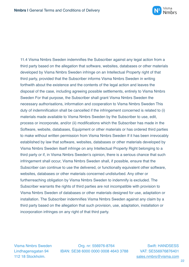

11.4 Visma Nmbrs Sweden indemnifies the Subscriber against any legal action from a third party based on the allegation that software, websites, databases or other materials developed by Visma Nmbrs Sweden infringe on an Intellectual Property right of that third party, provided that the Subscriber informs Visma Nmbrs Sweden in writing forthwith about the existence and the contents of the legal action and leaves the disposal of the case, including agreeing possible settlements, entirely to Visma Nmbrs Sweden For that purpose, the Subscriber shall grant Visma Nmbrs Sweden the necessary authorisations, information and cooperation to Visma Nmbrs Sweden This duty of indemnification shall be cancelled if the infringement concerned is related to (i) materials made available to Visma Nmbrs Sweden by the Subscriber to use, edit, process or incorporate, and/or (ii) modifications which the Subscriber has made in the Software, website, databases, Equipment or other materials or has ordered third parties to make without written permission from Visma Nmbrs Sweden If it has been irrevocably established by law that software, websites, databases or other materials developed by Visma Nmbrs Sweden itself infringe on any Intellectual Property Right belonging to a third party or if, in Visma Nmbrs Sweden's opinion, there is a serious chance that such infringement shall occur, Visma Nmbrs Sweden shall, if possible, ensure that the Subscriber can continue to use the delivered, or functionally equivalent other software, websites, databases or other materials concerned undisturbed. Any other or furtherreaching obligation by Visma Nmbrs Sweden to indemnify is excluded. The Subscriber warrants the rights of third parties are not incompatible with provision to Visma Nmbrs Sweden of databases or other materials designed for use, adaptation or installation. The Subscriber indemnifies Visma Nmbrs Sweden against any claim by a third party based on the allegation that such provision, use, adaptation, installation or incorporation infringes on any right of that third party.

Visma Nmbrs Sweden Org. nr: 556976-8764 Swift: HANDSESS Lindhagensgatan 94 IBAN: SE38 6000 0000 0008 4643 3788 VAT: SE556976876401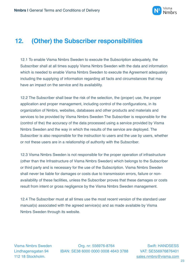

#### **12. (Other) the Subscriber responsibilities**

12.1 To enable Visma Nmbrs Sweden to execute the Subscription adequately, the Subscriber shall at all times supply Visma Nmbrs Sweden with the data and information which is needed to enable Visma Nmbrs Sweden to execute the Agreement adequately including the supplying of information regarding all facts and circumstances that may have an impact on the service and its availability.

12.2 The Subscriber shall bear the risk of the selection, the (proper) use, the proper application and proper management, including control of the configurations, in its organization of Nmbrs, websites, databases and other products and materials and services to be provided by Visma Nmbrs Sweden The Subscriber is responsible for the (control of the) the accuracy of the data processed using a service provided by Visma Nmbrs Sweden and the way in which the results of the service are deployed. The Subscriber is also responsible for the instruction to users and the use by users, whether or not these users are in a relationship of authority with the Subscriber.

12.3 Visma Nmbrs Sweden is not responsible for the proper operation of infrastructure (other than the Infrastructure of Visma Nmbrs Sweden) which belongs to the Subscriber or third party and is necessary for the use of the Subscription. Visma Nmbrs Sweden shall never be liable for damages or costs due to transmission errors, failure or nonavailability of these facilities, unless the Subscriber proves that these damages or costs result from intent or gross negligence by the Visma Nmbrs Sweden management.

12.4 The Subscriber must at all times use the most recent version of the standard user manual(s) associated with the agreed service(s) and as made available by Visma Nmbrs Sweden through its website.

Visma Nmbrs Sweden Org. nr: 556976-8764 Swift: HANDSESS Lindhagensgatan 94 IBAN: SE38 6000 0000 0008 4643 3788 VAT: SE556976876401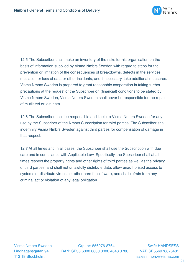

12.5 The Subscriber shall make an inventory of the risks for his organisation on the basis of information supplied by Visma Nmbrs Sweden with regard to steps for the prevention or limitation of the consequences of breakdowns, defects in the services, mutilation or loss of data or other incidents, and if necessary, take additional measures. Visma Nmbrs Sweden is prepared to grant reasonable cooperation in taking further precautions at the request of the Subscriber on (financial) conditions to be stated by Visma Nmbrs Sweden, Visma Nmbrs Sweden shall never be responsible for the repair of mutilated or lost data.

12.6 The Subscriber shall be responsible and liable to Visma Nmbrs Sweden for any use by the Subscriber of the Nmbrs Subscription for third parties. The Subscriber shall indemnify Visma Nmbrs Sweden against third parties for compensation of damage in that respect.

12.7 At all times and in all cases, the Subscriber shall use the Subscription with due care and in compliance with Applicable Law. Specifically, the Subscriber shall at all times respect the property rights and other rights of third parties as well as the privacy of third parties, and shall not unlawfully distribute data, allow unauthorised access to systems or distribute viruses or other harmful software, and shall refrain from any criminal act or violation of any legal obligation.

Visma Nmbrs Sweden Org. nr: 556976-8764 Swift: HANDSESS Lindhagensgatan 94 IBAN: SE38 6000 0000 0008 4643 3788 VAT: SE556976876401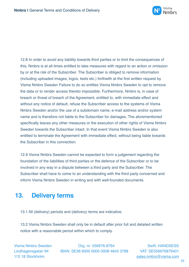

12.8 In order to avoid any liability towards third parties or to limit the consequences of this, Nmbrs is at all times entitled to take measures with regard to an action or omission by or at the risk of the Subscriber. The Subscriber is obliged to remove information (including uploaded images, logos, texts etc.) forthwith at the first written request by Visma Nmbrs Sweden Failure to do so entitles Visma Nmbrs Sweden to opt to remove the data or to render access thereto impossible. Furthermore, Nmbrs is, in case of breach or threat of breach of the Agreement, entitled to, with immediate effect and without any notice of default, refuse the Subscriber access to the systems of Visma Nmbrs Sweden and/or the use of a subdomain name, e-mail address and/or system name and is therefore not liable to the Subscriber for damages. The aforementioned specifically leaves any other measures or the execution of other rights of Visma Nmbrs Sweden towards the Subscriber intact. In that event Visma Nmbrs Sweden is also entitled to terminate the Agreement with immediate effect, without being liable towards the Subscriber in this connection.

12.9 Visma Nmbrs Sweden cannot be expected to form a judgement regarding the foundation of the liabilities of third parties or the defence of the Subscriber or to be involved in any way in a dispute between a third party and the Subscriber. The Subscriber shall have to come to an understanding with the third party concerned and inform Visma Nmbrs Sweden in writing and with well-founded documents.

# **13. Delivery terms**

13.1 All (delivery) periods and (delivery) terms are indicative.

13.2 Visma Nmbrs Sweden shall only be in default after prior full and detailed written notice with a reasonable period within which to comply.

Visma Nmbrs Sweden Org. nr: 556976-8764 Swift: HANDSESS Lindhagensgatan 94 IBAN: SE38 6000 0000 0008 4643 3788 VAT: SE556976876401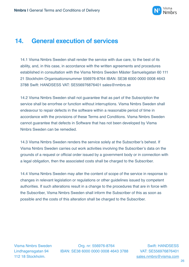

#### **14. General execution of services**

14.1 Visma Nmbrs Sweden shall render the service with due care, to the best of its ability, and, in this case, in accordance with the written agreements and procedures established in consultation with the Visma Nmbrs Sweden Mäster Samuelsgatan 60 111 21 Stockholm Organisationsnummer 556976-8764 IBAN: SE38 6000 0000 0008 4643 3788 Swift: HANDSESS VAT: SE556976876401 sales@nmbrs.se

14.2 Visma Nmbrs Sweden shall not guarantee that as part of the Subscription the service shall be errorfree or function without interruptions. Visma Nmbrs Sweden shall endeavour to repair defects in the software within a reasonable period of time in accordance with the provisions of these Terms and Conditions. Visma Nmbrs Sweden cannot guarantee that defects in Software that has not been developed by Visma Nmbrs Sweden can be remedied.

14.3 Visma Nmbrs Sweden renders the service solely at the Subscriber's behest. If Visma Nmbrs Sweden carries out work activities involving the Subscriber's data on the grounds of a request or official order issued by a government body or in connection with a legal obligation, then the associated costs shall be charged to the Subscriber.

14.4 Visma Nmbrs Sweden may alter the content of scope of the service in response to changes in relevant legislation or regulations or other guidelines issued by competent authorities. If such alterations result in a change to the procedures that are in force with the Subscriber, Visma Nmbrs Sweden shall inform the Subscriber of this as soon as possible and the costs of this alteration shall be charged to the Subscriber.

Visma Nmbrs Sweden Org. nr: 556976-8764 Swift: HANDSESS Lindhagensgatan 94 IBAN: SE38 6000 0000 0008 4643 3788 VAT: SE556976876401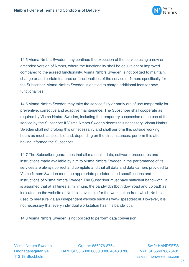

14.5 Visma Nmbrs Sweden may continue the execution of the service using a new or amended version of Nmbrs, where the functionality shall be equivalent or improved compared to the agreed functionality. Visma Nmbrs Sweden is not obliged to maintain, change or add certain features or functionalities of the service or Nmbrs specifically for the Subscriber. Visma Nmbrs Sweden is entitled to charge additional fees for new functionalities.

14.6 Visma Nmbrs Sweden may take the service fully or partly out of use temporarily for preventive, corrective and adaptive maintenance. The Subscriber shall cooperate as required by Visma Nmbrs Sweden, including the temporary suspension of the use of the service by the Subscriber if Visma Nmbrs Sweden deems this necessary. Visma Nmbrs Sweden shall not prolong this unnecessarily and shall perform this outside working hours as much as possible and, depending on the circumstances, perform this after having informed the Subscriber.

14.7 The Subscriber guarantees that all materials, data, software, procedures and instructions made available by him to Visma Nmbrs Sweden in the performance of its services are always correct and complete and that all data and data carriers provided to Visma Nmbrs Sweden meet the appropriate predetermined specifications and instructions of Visma Nmbrs Sweden The Subscriber must have sufficient bandwidth. It is assumed that at all times at minimum, the bandwidth (both download and upload) as indicated on the website of Nmbrs is available for the workstation from which Nmbrs is used to measure via an independent website such as www.speedtest.nl. However, it is not necessary that every individual workstation has this bandwidth.

14.8 Visma Nmbrs Sweden is not obliged to perform data conversion.

Visma Nmbrs Sweden Org. nr: 556976-8764 Swift: HANDSESS Lindhagensgatan 94 IBAN: SE38 6000 0000 0008 4643 3788 VAT: SE556976876401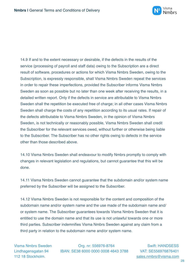

14.9 If and to the extent necessary or desirable, if the defects in the results of the service (processing of payroll and staff data) owing to the Subscription are a direct result of software, procedures or actions for which Visma Nmbrs Sweden, owing to the Subscription, is expressly responsible, shall Visma Nmbrs Sweden repeat the services in order to repair these imperfections, provided the Subscriber informs Visma Nmbrs Sweden as soon as possible but no later than one week after receiving the results, in a detailed written report. Only if the defects in service are attributable to Visma Nmbrs Sweden shall the repetition be executed free of charge; in all other cases Visma Nmbrs Sweden shall charge the costs of any repetition according to its usual rates. If repair of the defects attributable to Visma Nmbrs Sweden, in the opinion of Visma Nmbrs Sweden, is not technically or reasonably possible, Visma Nmbrs Sweden shall credit the Subscriber for the relevant services owed, without further or otherwise being liable to the Subscriber. The Subscriber has no other rights owing to defects in the service other than those described above.

14.10 Visma Nmbrs Sweden shall endeavour to modify Nmbrs promptly to comply with changes in relevant legislation and regulations, but cannot guarantee that this will be done.

14.11 Visma Nmbrs Sweden cannot guarantee that the subdomain and/or system name preferred by the Subscriber will be assigned to the Subscriber.

14.12 Visma Nmbrs Sweden is not responsible for the content and composition of the subdomain name and/or system name and the use made of the subdomain name and/ or system name. The Subscriber guarantees towards Visma Nmbrs Sweden that it is entitled to use the domain name and that its use is not unlawful towards one or more third parties. Subscriber indemnifies Visma Nmbrs Sweden against any claim from a third party in relation to the subdomain name and/or system name.

Visma Nmbrs Sweden Org. nr: 556976-8764 Swift: HANDSESS Lindhagensgatan 94 IBAN: SE38 6000 0000 0008 4643 3788 VAT: SE556976876401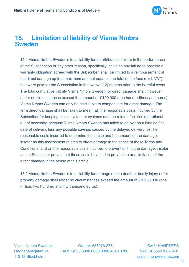

#### **15. Limitation of liability of Visma Nmbrs Sweden**

15.1 Visma Nmbrs Sweden's total liability for an attributable failure in the performance of the Subscription or any other reason, specifically including any failure to observe a warranty obligation agreed with the Subscriber, shall be limited to a reimbursement of the direct damage up to a maximum amount equal to the total of the fees (excl. VAT) that were paid for the Subscription in the twelve (12) months prior to the harmful event. The total cumulative liability Visma Nmbrs Sweden for direct damage shall, however, under no circumstances exceed the amount of €100,000 (one hundredthousand euros). Visma Nmbrs Sweden can only be held liable to compensate for direct damage. The term direct damage shall be taken to mean: a) The reasonable costs incurred by the Subscriber for keeping its old system or systems and the related facilities operational out of necessity, because Visma Nmbrs Sweden has failed to deliver on a binding final date of delivery, less any possible savings caused by the delayed delivery; b) The reasonable costs incurred to determine the cause and the amount of the damage, insofar as this assessment relates to direct damage in the sense of these Terms and Conditions; and c) The reasonable costs incurred to prevent or limit the damage, insofar as the Subscriber proves that these costs have led to prevention or a limitation of the direct damage in the sense of this article.

15.2 Visma Nmbrs Sweden's total liability for damage due to death or bodily injury or for property damage shall under no circumstances exceed the amount of €1,250,000 (one million, two hundred and fifty thousand euros).

Visma Nmbrs Sweden Org. nr: 556976-8764 Swift: HANDSESS Lindhagensgatan 94 IBAN: SE38 6000 0000 0008 4643 3788 VAT: SE556976876401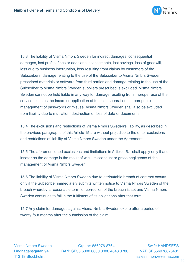

15.3 The liability of Visma Nmbrs Sweden for indirect damages, consequential damages, lost profits, fines or additional assessments, lost savings, loss of goodwill, loss due to business interruption, loss resulting from claims by customers of the Subscribers, damage relating to the use of the Subscriber to Visma Nmbrs Sweden prescribed materials or software from third parties and damage relating to the use of the Subscriber to Visma Nmbrs Sweden suppliers prescribed is excluded. Visma Nmbrs Sweden cannot be held liable in any way for damage resulting from improper use of the service, such as the incorrect application of function separation, inappropriate management of passwords or misuse. Visma Nmbrs Sweden shall also be excluded from liability due to mutilation, destruction or loss of data or documents.

15.4 The exclusions and restrictions of Visma Nmbrs Sweden's liability, as described in the previous paragraphs of this Article 15 are without prejudice to the other exclusions and restrictions of liability of Visma Nmbrs Sweden under the Agreement.

15.5 The aforementioned exclusions and limitations in Article 15.1 shall apply only if and insofar as the damage is the result of wilful misconduct or gross negligence of the management of Visma Nmbrs Sweden.

15.6 The liability of Visma Nmbrs Sweden due to attributable breach of contract occurs only if the Subscriber immediately submits written notice to Visma Nmbrs Sweden of the breach whereby a reasonable term for correction of the breach is set and Visma Nmbrs Sweden continues to fail in the fulfilment of its obligations after that term.

15.7 Any claim for damages against Visma Nmbrs Sweden expire after a period of twenty-four months after the submission of the claim.

Visma Nmbrs Sweden Org. nr: 556976-8764 Swift: HANDSESS Lindhagensgatan 94 IBAN: SE38 6000 0000 0008 4643 3788 VAT: SE556976876401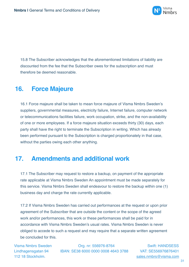

15.8 The Subscriber acknowledges that the aforementioned limitations of liability are discounted from the fee that the Subscriber owes for the subscription and must therefore be deemed reasonable.

## **16. Force Majeure**

16.1 Force majeure shall be taken to mean force majeure of Visma Nmbrs Sweden's suppliers, governmental measures, electricity failure, Internet failure, computer network or telecommunications facilities failure, work occupation, strike, and the non-availability of one or more employees. If a force majeure situation exceeds thirty (30) days, each party shall have the right to terminate the Subscription in writing. Which has already been performed pursuant to the Subscription is charged proportionately in that case, without the parties owing each other anything.

## **17. Amendments and additional work**

17.1 The Subscriber may request to restore a backup, on payment of the appropriate rate applicable at Visma Nmbrs Sweden An appointment must be made separately for this service. Visma Nmbrs Sweden shall endeavour to restore the backup within one (1) business day and charge the rate currently applicable.

17.2 If Visma Nmbrs Sweden has carried out performances at the request or upon prior agreement of the Subscriber that are outside the content or the scope of the agreed work and/or performances, this work or these performances shall be paid for in accordance with Visma Nmbrs Sweden's usual rates. Visma Nmbrs Sweden is never obliged to accede to such a request and may require that a separate written agreement be concluded for this.

Visma Nmbrs Sweden Org. nr: 556976-8764 Swift: HANDSESS Lindhagensgatan 94 IBAN: SE38 6000 0000 0008 4643 3788 VAT: SE556976876401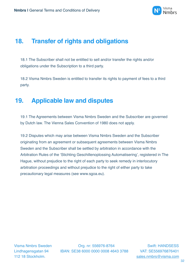

## **18. Transfer of rights and obligations**

18.1 The Subscriber shall not be entitled to sell and/or transfer the rights and/or obligations under the Subscription to a third party.

18.2 Visma Nmbrs Sweden is entitled to transfer its rights to payment of fees to a third party.

## **19. Applicable law and disputes**

19.1 The Agreements between Visma Nmbrs Sweden and the Subscriber are governed by Dutch law. The Vienna Sales Convention of 1980 does not apply.

19.2 Disputes which may arise between Visma Nmbrs Sweden and the Subscriber originating from an agreement or subsequent agreements between Visma Nmbrs Sweden and the Subscriber shall be settled by arbitration in accordance with the Arbitration Rules of the 'Stichting Geschillenoplossing Automatisering', registered in The Hague, without prejudice to the right of each party to seek remedy in interlocutory arbitration proceedings and without prejudice to the right of either party to take precautionary legal measures (see www.sgoa.eu).

Visma Nmbrs Sweden Org. nr: 556976-8764 Swift: HANDSESS Lindhagensgatan 94 IBAN: SE38 6000 0000 0008 4643 3788 VAT: SE556976876401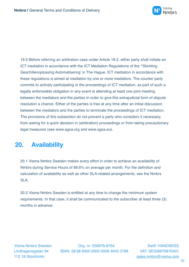

19.3 Before referring an arbitration case under Article 18.2, either party shall initiate an ICT mediation in accordance with the ICT Mediation Regulations of the '"Stichting Geschillenoplossing Automatisering' in The Hague. ICT mediation in accordance with these regulations is aimed at mediation by one or more mediators. The counter party commits to actively participating in the proceedings of ICT mediation, as part of such a legally enforceable obligation in any event is attending at least one joint meeting between the mediators and the parties in order to give this extrajudicial form of dispute resolution a chance. Either of the parties is free at any time after an initial discussion between the mediators and the parties to terminate the proceedings of ICT mediation. The provisions of this subsection do not prevent a party who considers it necessary, from asking for a quick decision in (arbitration) proceedings or from taking precautionary legal measures (see www.sgoa.org and www.sgoa.eu).

# **20. Availability**

20.1 Visma Nmbrs Sweden makes every effort in order to achieve an availability of Nmbrs during Service Hours of 99.6% on average per month. For the definition and calculation of availability as well as other SLA-related arrangements, see the Nmbrs SLA.

20.2 Visma Nmbrs Sweden is entitled at any time to change the minimum system requirements. In that case, it shall be communicated to the subscriber at least three (3) months in advance.

Visma Nmbrs Sweden Org. nr: 556976-8764 Swift: HANDSESS Lindhagensgatan 94 IBAN: SE38 6000 0000 0008 4643 3788 VAT: SE556976876401